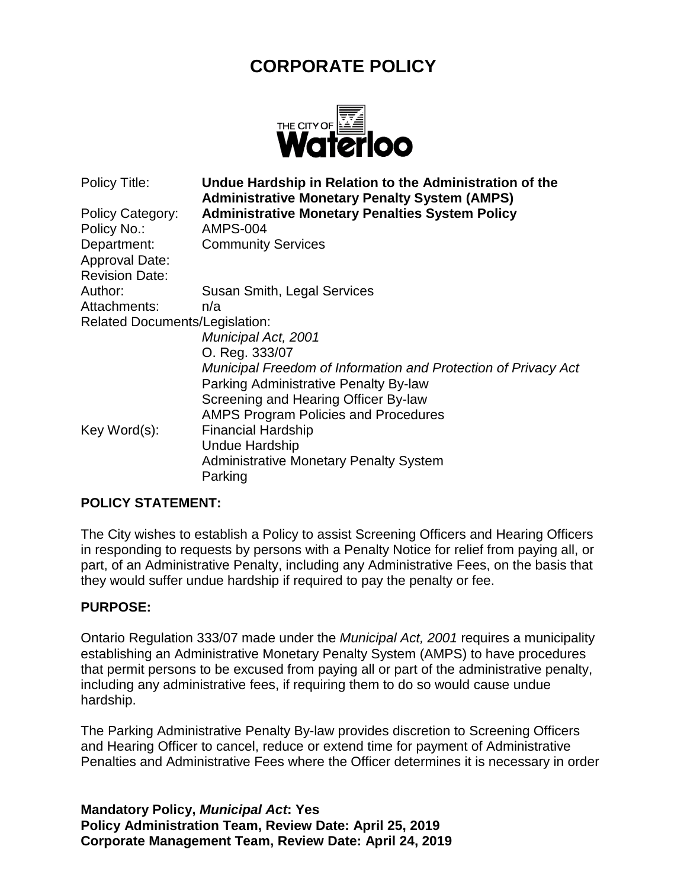# **CORPORATE POLICY**



Policy Title: **Undue Hardship in Relation to the Administration of the Administrative Monetary Penalty System (AMPS)** Policy Category: **Administrative Monetary Penalties System Policy** Policy No.: AMPS-004 Department: Community Services Approval Date: Revision Date: Author: Susan Smith, Legal Services Attachments: n/a Related Documents/Legislation: *Municipal Act, 2001* O. Reg. 333/07 *Municipal Freedom of Information and Protection of Privacy Act* Parking Administrative Penalty By-law Screening and Hearing Officer By-law AMPS Program Policies and Procedures Key Word(s): Financial Hardship Undue Hardship Administrative Monetary Penalty System Parking

#### **POLICY STATEMENT:**

The City wishes to establish a Policy to assist Screening Officers and Hearing Officers in responding to requests by persons with a Penalty Notice for relief from paying all, or part, of an Administrative Penalty, including any Administrative Fees, on the basis that they would suffer undue hardship if required to pay the penalty or fee.

#### **PURPOSE:**

Ontario Regulation 333/07 made under the *Municipal Act, 2001* requires a municipality establishing an Administrative Monetary Penalty System (AMPS) to have procedures that permit persons to be excused from paying all or part of the administrative penalty, including any administrative fees, if requiring them to do so would cause undue hardship.

The Parking Administrative Penalty By-law provides discretion to Screening Officers and Hearing Officer to cancel, reduce or extend time for payment of Administrative Penalties and Administrative Fees where the Officer determines it is necessary in order

**Mandatory Policy,** *Municipal Act***: Yes Policy Administration Team, Review Date: April 25, 2019 Corporate Management Team, Review Date: April 24, 2019**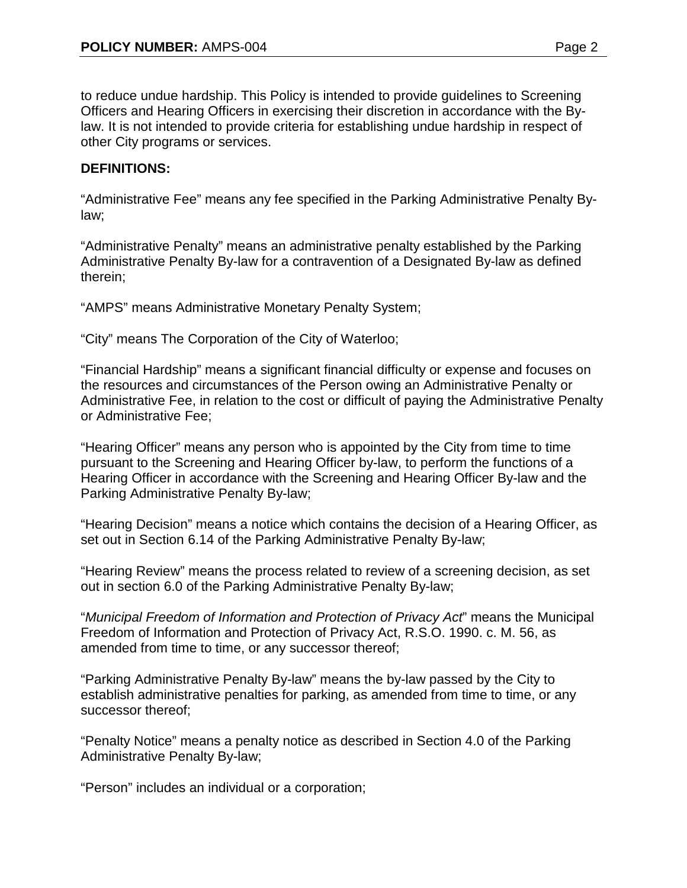to reduce undue hardship. This Policy is intended to provide guidelines to Screening Officers and Hearing Officers in exercising their discretion in accordance with the Bylaw. It is not intended to provide criteria for establishing undue hardship in respect of other City programs or services.

## **DEFINITIONS:**

"Administrative Fee" means any fee specified in the Parking Administrative Penalty Bylaw;

"Administrative Penalty" means an administrative penalty established by the Parking Administrative Penalty By-law for a contravention of a Designated By-law as defined therein;

"AMPS" means Administrative Monetary Penalty System;

"City" means The Corporation of the City of Waterloo;

"Financial Hardship" means a significant financial difficulty or expense and focuses on the resources and circumstances of the Person owing an Administrative Penalty or Administrative Fee, in relation to the cost or difficult of paying the Administrative Penalty or Administrative Fee;

"Hearing Officer" means any person who is appointed by the City from time to time pursuant to the Screening and Hearing Officer by-law, to perform the functions of a Hearing Officer in accordance with the Screening and Hearing Officer By-law and the Parking Administrative Penalty By-law;

"Hearing Decision" means a notice which contains the decision of a Hearing Officer, as set out in Section 6.14 of the Parking Administrative Penalty By-law;

"Hearing Review" means the process related to review of a screening decision, as set out in section 6.0 of the Parking Administrative Penalty By-law;

"*Municipal Freedom of Information and Protection of Privacy Act*" means the Municipal Freedom of Information and Protection of Privacy Act, R.S.O. 1990. c. M. 56, as amended from time to time, or any successor thereof;

"Parking Administrative Penalty By-law" means the by-law passed by the City to establish administrative penalties for parking, as amended from time to time, or any successor thereof;

"Penalty Notice" means a penalty notice as described in Section 4.0 of the Parking Administrative Penalty By-law;

"Person" includes an individual or a corporation;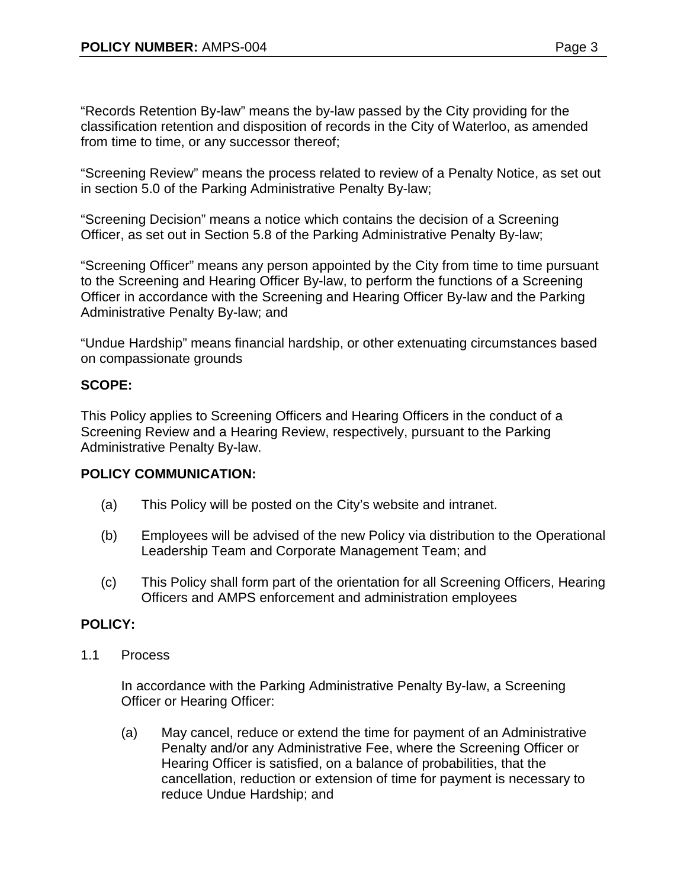"Records Retention By-law" means the by-law passed by the City providing for the classification retention and disposition of records in the City of Waterloo, as amended from time to time, or any successor thereof;

"Screening Review" means the process related to review of a Penalty Notice, as set out in section 5.0 of the Parking Administrative Penalty By-law;

"Screening Decision" means a notice which contains the decision of a Screening Officer, as set out in Section 5.8 of the Parking Administrative Penalty By-law;

"Screening Officer" means any person appointed by the City from time to time pursuant to the Screening and Hearing Officer By-law, to perform the functions of a Screening Officer in accordance with the Screening and Hearing Officer By-law and the Parking Administrative Penalty By-law; and

"Undue Hardship" means financial hardship, or other extenuating circumstances based on compassionate grounds

# **SCOPE:**

This Policy applies to Screening Officers and Hearing Officers in the conduct of a Screening Review and a Hearing Review, respectively, pursuant to the Parking Administrative Penalty By-law.

# **POLICY COMMUNICATION:**

- (a) This Policy will be posted on the City's website and intranet.
- (b) Employees will be advised of the new Policy via distribution to the Operational Leadership Team and Corporate Management Team; and
- (c) This Policy shall form part of the orientation for all Screening Officers, Hearing Officers and AMPS enforcement and administration employees

# **POLICY:**

1.1 Process

In accordance with the Parking Administrative Penalty By-law, a Screening Officer or Hearing Officer:

(a) May cancel, reduce or extend the time for payment of an Administrative Penalty and/or any Administrative Fee, where the Screening Officer or Hearing Officer is satisfied, on a balance of probabilities, that the cancellation, reduction or extension of time for payment is necessary to reduce Undue Hardship; and